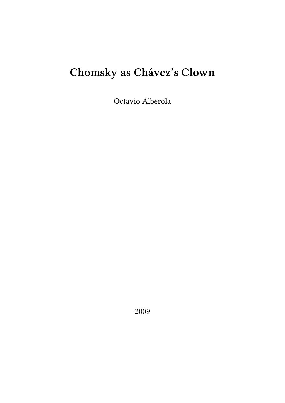## **Chomsky as Chávez's Clown**

Octavio Alberola

2009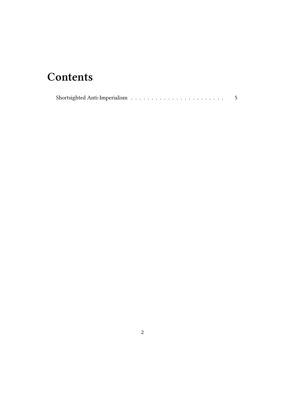## **Contents**

|--|--|--|--|--|--|--|--|--|--|--|--|--|--|--|--|--|--|--|--|--|--|--|--|--|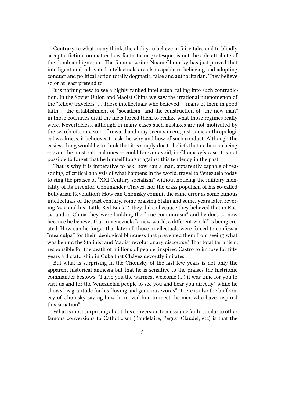Contrary to what many think, the ability to believe in fairy tales and to blindly accept a fiction, no matter how fantastic or grotesque, is not the sole attribute of the dumb and ignorant. The famous writer Noam Chomsky has just proved that intelligent and cultivated intellectuals are also capable of believing and adopting conduct and political action totally dogmatic, false and authoritarian. They believe so or at least pretend to.

It is nothing new to see a highly ranked intellectual falling into such contradiction. In the Soviet Union and Maoist China we saw the irrational phenomenon of the "fellow travelers" … Those intellectuals who believed — many of them in good faith — the establishment of "socialism" and the construction of "the new man" in those countries until the facts forced them to realize what those regimes really were. Nevertheless, although in many cases such mistakes are not motivated by the search of some sort of reward and may seem sincere, just some anthropological weakness, it behooves to ask the why and how of such conduct. Although the easiest thing would be to think that it is simply due to beliefs that no human being — even the most rational ones — could forever avoid, in Chomsky's case it is not possible to forget that he himself fought against this tendency in the past.

That is why it is imperative to ask: how can a man, apparently capable of reasoning, of critical analysis of what happens in the world, travel to Venezuela today to sing the praises of "XXI Century socialism" without noticing the military mentality of its inventor, Commander Chávez, nor the crass populism of his so-called Bolivarian Revolution? How can Chomsky commit the same error as some famous intellectuals of the past century, some praising Stalin and some, years later, revering Mao and his "Little Red Book"? They did so because they believed that in Russia and in China they were building the "true communism" and he does so now because he believes that in Venezuela "a new world, a different world" is being created. How can he forget that later all those intellectuals were forced to confess a "mea culpa" for their ideological blindness that prevented them from seeing what was behind the Stalinist and Maoist revolutionary discourse? That totalitarianism, responsible for the death of millions of people, inspired Castro to impose for fifty years a dictatorship in Cuba that Chávez devoutly imitates.

But what is surprising in the Chomsky of the last few years is not only the apparent historical amnesia but that he is sensitive to the praises the histrionic commander bestows: "I give you the warmest welcome (…) it was time for you to visit us and for the Venezuelan people to see you and hear you directly" while he shows his gratitude for his "loving and generous words". There is also the buffoonery of Chomsky saying how "it moved him to meet the men who have inspired this situation".

What is most surprising about this conversion to messianic faith, similar to other famous conversions to Catholicism (Baudelaire, Peguy, Claudel, etc) is that the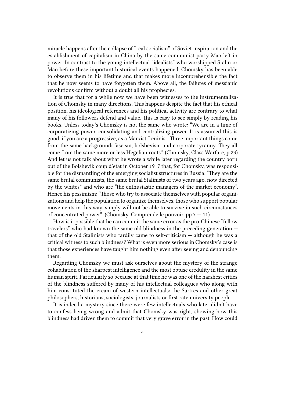miracle happens after the collapse of "real socialism" of Soviet inspiration and the establishment of capitalism in China by the same communist party Mao left in power. In contrast to the young intellectual "idealists" who worshipped Stalin or Mao before these important historical events happened, Chomsky has been able to observe them in his lifetime and that makes more incomprehensible the fact that he now seems to have forgotten them. Above all, the failures of messianic revolutions confirm without a doubt all his prophecies.

It is true that for a while now we have been witnesses to the instrumentalization of Chomsky in many directions. This happens despite the fact that his ethical position, his ideological references and his political activity are contrary to what many of his followers defend and value. This is easy to see simply by reading his books. Unless today's Chomsky is not the same who wrote: "We are in a time of corporatizing power, consolidating and centralizing power. It is assumed this is good, if you are a progressive, as a Marxist-Leninist. Three important things come from the same background: fascism, bolshevism and corporate tyranny. They all come from the same more or less Hegelian roots." (Chomsky, Class Warfare, p.23) And let us not talk about what he wrote a while later regarding the country born out of the Bolshevik coup d'etat in October 1917 that, for Chomsky, was responsible for the dismantling of the emerging socialist structures in Russia: "They are the same brutal communists, the same brutal Stalinists of two years ago, now directed by the whites" and who are "the enthusiastic managers of the market economy". Hence his pessimism: "Those who try to associate themselves with popular organizations and help the population to organize themselves, those who support popular movements in this way, simply will not be able to survive in such circumstances of concentrated power". (Chomsky, Comprende le pouvoir, pp.7 — 11).

How is it possible that he can commit the same error as the pro-Chinese "fellow travelers" who had known the same old blindness in the preceding generation that of the old Stalinists who tardily came to self-criticism — although he was a critical witness to such blindness? What is even more serious in Chomsky's case is that those experiences have taught him nothing even after seeing and denouncing them.

Regarding Chomsky we must ask ourselves about the mystery of the strange cohabitation of the sharpest intelligence and the most obtuse credulity in the same human spirit. Particularly so because at that time he was one of the harshest critics of the blindness suffered by many of his intellectual colleagues who along with him constituted the cream of western intellectuals: the Sartres and other great philosophers, historians, sociologists, journalists or first rate university people.

It is indeed a mystery since there were few intellectuals who later didn't have to confess being wrong and admit that Chomsky was right, showing how this blindness had driven them to commit that very grave error in the past. How could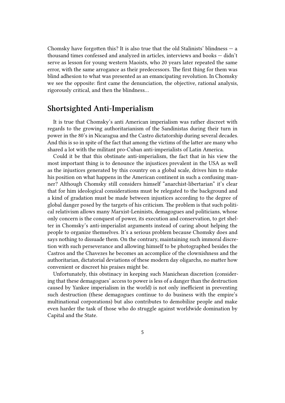Chomsky have forgotten this? It is also true that the old Stalinists' blindness  $-$  a thousand times confessed and analyzed in articles, interviews and books — didn't serve as lesson for young western Maoists, who 20 years later repeated the same error, with the same arrogance as their predecessors. The first thing for them was blind adhesion to what was presented as an emancipating revolution. In Chomsky we see the opposite: first came the denunciation, the objective, rational analysis, rigorously critical, and then the blindness…

## **Shortsighted Anti-Imperialism**

It is true that Chomsky's anti American imperialism was rather discreet with regards to the growing authoritarianism of the Sandinistas during their turn in power in the 80's in Nicaragua and the Castro dictatorship during several decades. And this is so in spite of the fact that among the victims of the latter are many who shared a lot with the militant pro-Cuban anti-imperialists of Latin America.

Could it be that this obstinate anti-imperialism, the fact that in his view the most important thing is to denounce the injustices prevalent in the USA as well as the injustices generated by this country on a global scale, drives him to stake his position on what happens in the American continent in such a confusing manner? Although Chomsky still considers himself "anarchist-libertarian" it's clear that for him ideological considerations must be relegated to the background and a kind of gradation must be made between injustices according to the degree of global danger posed by the targets of his criticism. The problem is that such political relativism allows many Marxist-Leninists, demagogues and politicians, whose only concern is the conquest of power, its execution and conservation, to get shelter in Chomsky's anti-imperialist arguments instead of caring about helping the people to organize themselves. It's a serious problem because Chomsky does and says nothing to dissuade them. On the contrary, maintaining such immoral discretion with such perseverance and allowing himself to be photographed besides the Castros and the Chavezes he becomes an accomplice of the clownishness and the authoritarian, dictatorial deviations of these modern day oligarchs, no matter how convenient or discreet his praises might be.

Unfortunately, this obstinacy in keeping such Manichean discretion (considering that these demagogues' access to power is less of a danger than the destruction caused by Yankee imperialism in the world) is not only inefficient in preventing such destruction (these demagogues continue to do business with the empire's multinational corporations) but also contributes to demobilize people and make even harder the task of those who do struggle against worldwide domination by Capital and the State.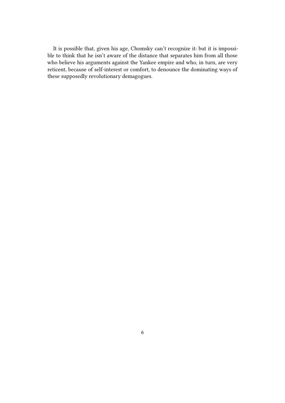It is possible that, given his age, Chomsky can't recognize it: but it is impossible to think that he isn't aware of the distance that separates him from all those who believe his arguments against the Yankee empire and who, in turn, are very reticent, because of self-interest or comfort, to denounce the dominating ways of these supposedly revolutionary demagogues.